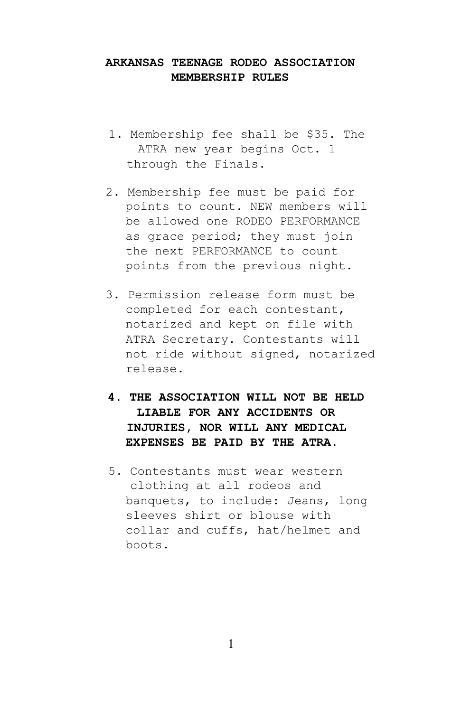# **ARKANSAS TEENAGE RODEO ASSOCIATION MEMBERSHIP RULES**

- 1. Membership fee shall be \$35. The ATRA new year begins Oct. 1 through the Finals.
- 2. Membership fee must be paid for points to count. NEW members will be allowed one RODEO PERFORMANCE as grace period; they must join the next PERFORMANCE to count points from the previous night.
- 3. Permission release form must be completed for each contestant, notarized and kept on file with ATRA Secretary. Contestants will not ride without signed, notarized release.
- **4. THE ASSOCIATION WILL NOT BE HELD LIABLE FOR ANY ACCIDENTS OR INJURIES, NOR WILL ANY MEDICAL EXPENSES BE PAID BY THE ATRA.**
- 5. Contestants must wear western clothing at all rodeos and banquets, to include: Jeans, long sleeves shirt or blouse with collar and cuffs, hat/helmet and boots.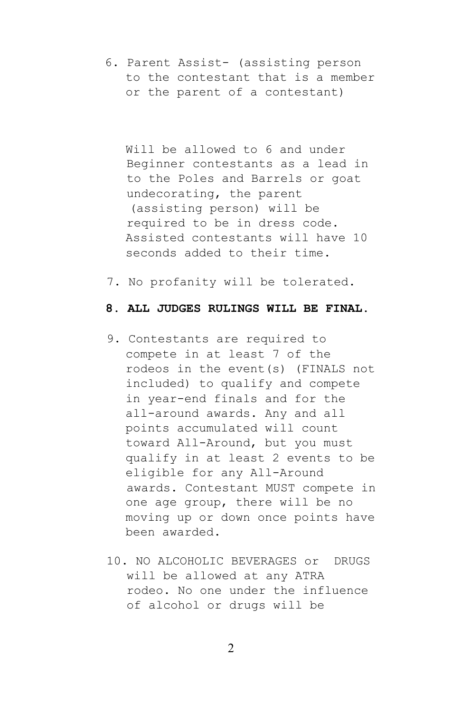6. Parent Assist- (assisting person to the contestant that is a member or the parent of a contestant)

Will be allowed to 6 and under Beginner contestants as a lead in to the Poles and Barrels or goat undecorating, the parent (assisting person) will be required to be in dress code. Assisted contestants will have 10 seconds added to their time.

7. No profanity will be tolerated.

## **8. ALL JUDGES RULINGS WILL BE FINAL.**

- 9. Contestants are required to compete in at least 7 of the rodeos in the event(s) (FINALS not included) to qualify and compete in year-end finals and for the all-around awards. Any and all points accumulated will count toward All-Around, but you must qualify in at least 2 events to be eligible for any All-Around awards. Contestant MUST compete in one age group, there will be no moving up or down once points have been awarded.
- 10. NO ALCOHOLIC BEVERAGES or DRUGS will be allowed at any ATRA rodeo. No one under the influence of alcohol or drugs will be

2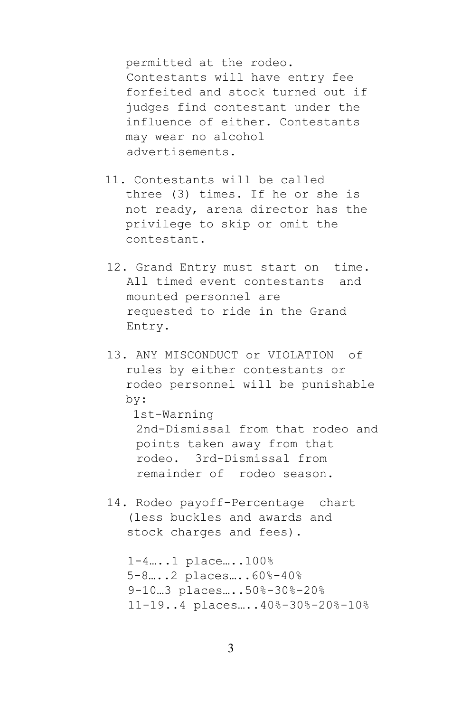permitted at the rodeo. Contestants will have entry fee forfeited and stock turned out if judges find contestant under the influence of either. Contestants may wear no alcohol advertisements.

- 11. Contestants will be called three (3) times. If he or she is not ready, arena director has the privilege to skip or omit the contestant.
- 12. Grand Entry must start on time. All timed event contestants and mounted personnel are requested to ride in the Grand Entry.
- 13. ANY MISCONDUCT or VIOLATION of rules by either contestants or rodeo personnel will be punishable by: 1st-Warning 2nd-Dismissal from that rodeo and points taken away from that rodeo. 3rd-Dismissal from remainder of rodeo season.
- 14. Rodeo payoff-Percentage chart (less buckles and awards and stock charges and fees).

1-4…..1 place…..100% 5-8…..2 places…..60%-40% 9-10…3 places…..50%-30%-20% 11-19..4 places…..40%-30%-20%-10%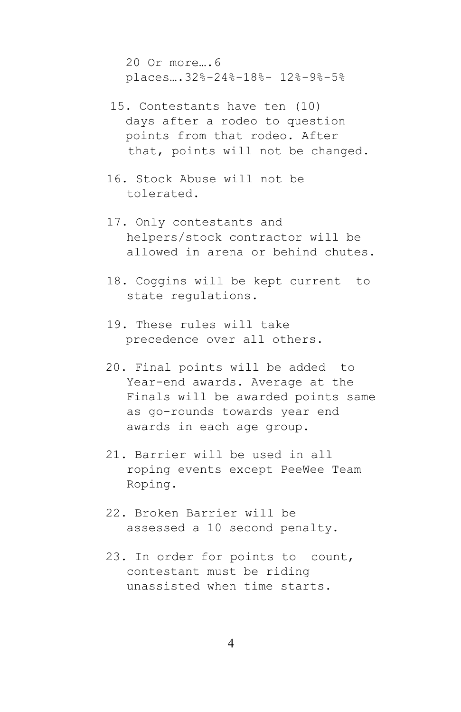20 Or more….6 places….32%-24%-18%- 12%-9%-5%

- 15. Contestants have ten (10) days after a rodeo to question points from that rodeo. After that, points will not be changed.
- 16. Stock Abuse will not be tolerated.
- 17. Only contestants and helpers/stock contractor will be allowed in arena or behind chutes.
- 18. Coggins will be kept current to state regulations.
- 19. These rules will take precedence over all others.
- 20. Final points will be added to Year-end awards. Average at the Finals will be awarded points same as go-rounds towards year end awards in each age group.
- 21. Barrier will be used in all roping events except PeeWee Team Roping.
- 22. Broken Barrier will be assessed a 10 second penalty.
- 23. In order for points to count, contestant must be riding unassisted when time starts.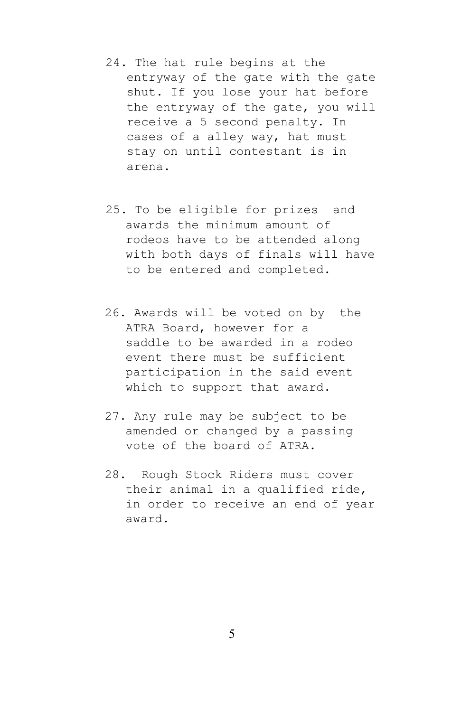- 24. The hat rule begins at the entryway of the gate with the gate shut. If you lose your hat before the entryway of the gate, you will receive a 5 second penalty. In cases of a alley way, hat must stay on until contestant is in arena.
- 25. To be eligible for prizes and awards the minimum amount of rodeos have to be attended along with both days of finals will have to be entered and completed.
- 26. Awards will be voted on by the ATRA Board, however for a saddle to be awarded in a rodeo event there must be sufficient participation in the said event which to support that award.
- 27. Any rule may be subject to be amended or changed by a passing vote of the board of ATRA.
- 28. Rough Stock Riders must cover their animal in a qualified ride, in order to receive an end of year award.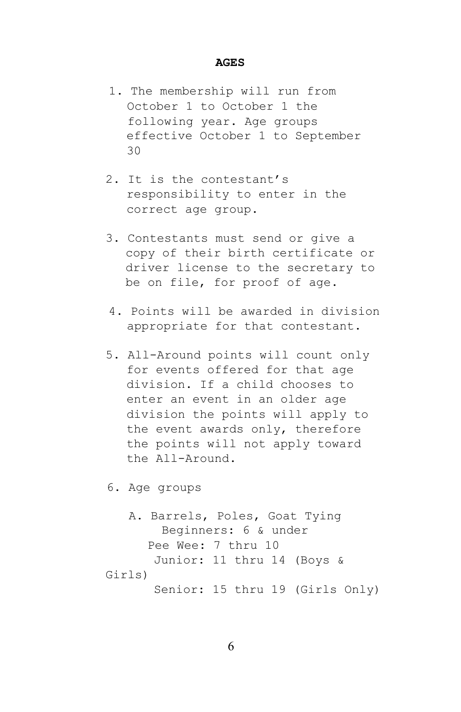#### **AGES**

- 1. The membership will run from October 1 to October 1 the following year. Age groups effective October 1 to September 30
- 2. It is the contestant's responsibility to enter in the correct age group.
- 3. Contestants must send or give a copy of their birth certificate or driver license to the secretary to be on file, for proof of age.
- 4. Points will be awarded in division appropriate for that contestant.
- 5. All-Around points will count only for events offered for that age division. If a child chooses to enter an event in an older age division the points will apply to the event awards only, therefore the points will not apply toward the All-Around.

6. Age groups

```
A. Barrels, Poles, Goat Tying
       Beginners: 6 & under
      Pee Wee: 7 thru 10
      Junior: 11 thru 14 (Boys &
Girls)
      Senior: 15 thru 19 (Girls Only)
```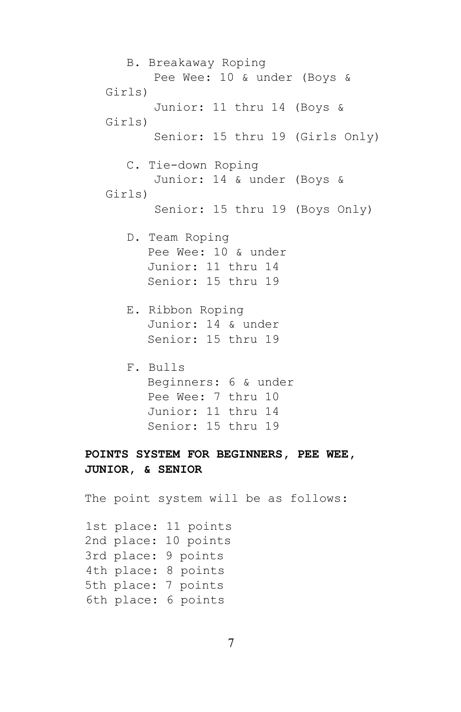B. Breakaway Roping Pee Wee: 10 & under (Boys & Girls) Junior: 11 thru 14 (Boys & Girls) Senior: 15 thru 19 (Girls Only) C. Tie-down Roping Junior: 14 & under (Boys & Girls) Senior: 15 thru 19 (Boys Only) D. Team Roping Pee Wee: 10 & under Junior: 11 thru 14 Senior: 15 thru 19 E. Ribbon Roping Junior: 14 & under Senior: 15 thru 19 F. Bulls Beginners: 6 & under Pee Wee: 7 thru 10 Junior: 11 thru 14 Senior: 15 thru 19 **POINTS SYSTEM FOR BEGINNERS, PEE WEE, JUNIOR, & SENIOR** The point system will be as follows: 1st place: 11 points 2nd place: 10 points 3rd place: 9 points 4th place: 8 points 5th place: 7 points 6th place: 6 points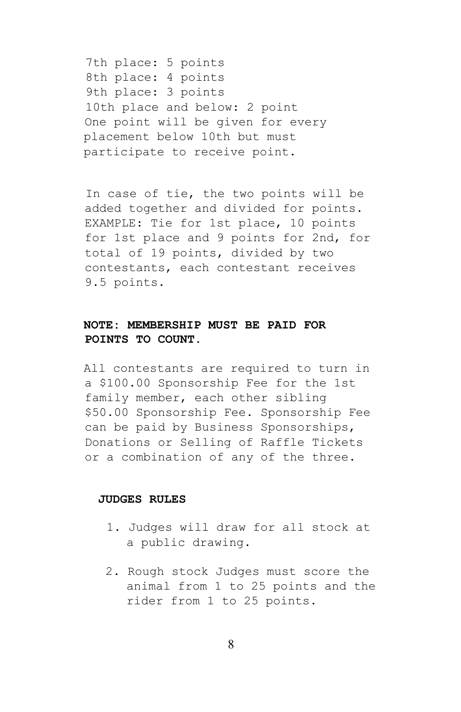7th place: 5 points 8th place: 4 points 9th place: 3 points 10th place and below: 2 point One point will be given for every placement below 10th but must participate to receive point.

In case of tie, the two points will be added together and divided for points. EXAMPLE: Tie for 1st place, 10 points for 1st place and 9 points for 2nd, for total of 19 points, divided by two contestants, each contestant receives 9.5 points.

# **NOTE: MEMBERSHIP MUST BE PAID FOR POINTS TO COUNT**.

All contestants are required to turn in a \$100.00 Sponsorship Fee for the 1st family member, each other sibling \$50.00 Sponsorship Fee. Sponsorship Fee can be paid by Business Sponsorships, Donations or Selling of Raffle Tickets or a combination of any of the three.

#### **JUDGES RULES**

- 1. Judges will draw for all stock at a public drawing.
- 2. Rough stock Judges must score the animal from 1 to 25 points and the rider from 1 to 25 points.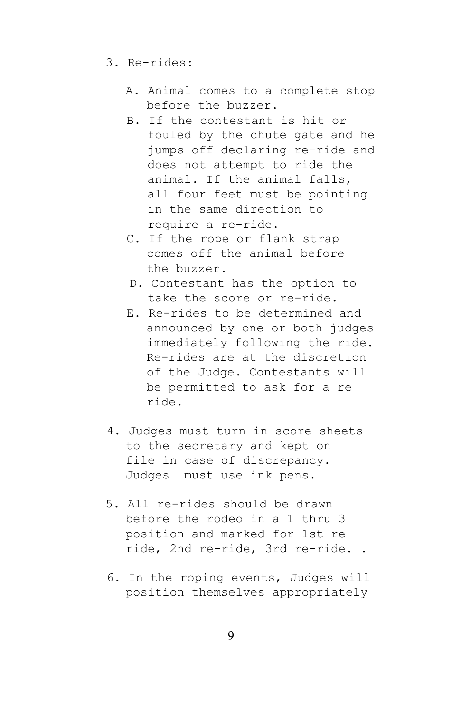- 3. Re-rides:
	- A. Animal comes to a complete stop before the buzzer.
	- B. If the contestant is hit or fouled by the chute gate and he jumps off declaring re-ride and does not attempt to ride the animal. If the animal falls, all four feet must be pointing in the same direction to require a re-ride.
	- C. If the rope or flank strap comes off the animal before the buzzer.
	- D. Contestant has the option to take the score or re-ride.
	- E. Re-rides to be determined and announced by one or both judges immediately following the ride. Re-rides are at the discretion of the Judge. Contestants will be permitted to ask for a re ride.
- 4. Judges must turn in score sheets to the secretary and kept on file in case of discrepancy. Judges must use ink pens.
- 5. All re-rides should be drawn before the rodeo in a 1 thru 3 position and marked for 1st re ride, 2nd re-ride, 3rd re-ride. .
- 6. In the roping events, Judges will position themselves appropriately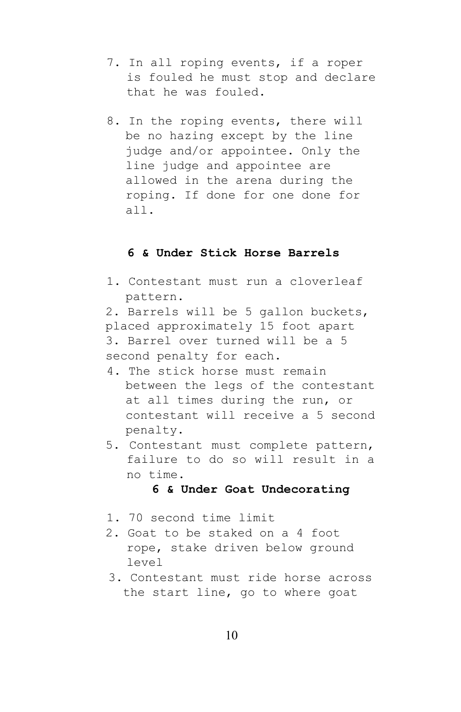- 7. In all roping events, if a roper is fouled he must stop and declare that he was fouled.
- 8. In the roping events, there will be no hazing except by the line judge and/or appointee. Only the line judge and appointee are allowed in the arena during the roping. If done for one done for all.

### **6 & Under Stick Horse Barrels**

1. Contestant must run a cloverleaf pattern.

2. Barrels will be 5 gallon buckets, placed approximately 15 foot apart 3. Barrel over turned will be a 5 second penalty for each.

- 4. The stick horse must remain between the legs of the contestant at all times during the run, or contestant will receive a 5 second penalty.
- 5. Contestant must complete pattern, failure to do so will result in a no time.

# **6 & Under Goat Undecorating**

- 1. 70 second time limit
- 2. Goat to be staked on a 4 foot rope, stake driven below ground level
- 3. Contestant must ride horse across the start line, go to where goat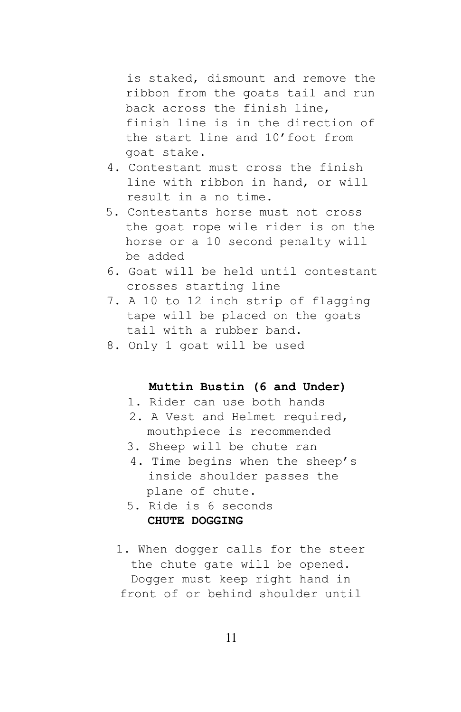is staked, dismount and remove the ribbon from the goats tail and run back across the finish line, finish line is in the direction of the start line and 10'foot from goat stake.

- 4. Contestant must cross the finish line with ribbon in hand, or will result in a no time.
- 5. Contestants horse must not cross the goat rope wile rider is on the horse or a 10 second penalty will be added
- 6. Goat will be held until contestant crosses starting line
- 7. A 10 to 12 inch strip of flagging tape will be placed on the goats tail with a rubber band.
- 8. Only 1 goat will be used

# **Muttin Bustin (6 and Under)**

- 1. Rider can use both hands
- 2. A Vest and Helmet required, mouthpiece is recommended
- 3. Sheep will be chute ran
- 4. Time begins when the sheep's inside shoulder passes the plane of chute.
- 5. Ride is 6 seconds **CHUTE DOGGING**
- 1. When dogger calls for the steer the chute gate will be opened. Dogger must keep right hand in front of or behind shoulder until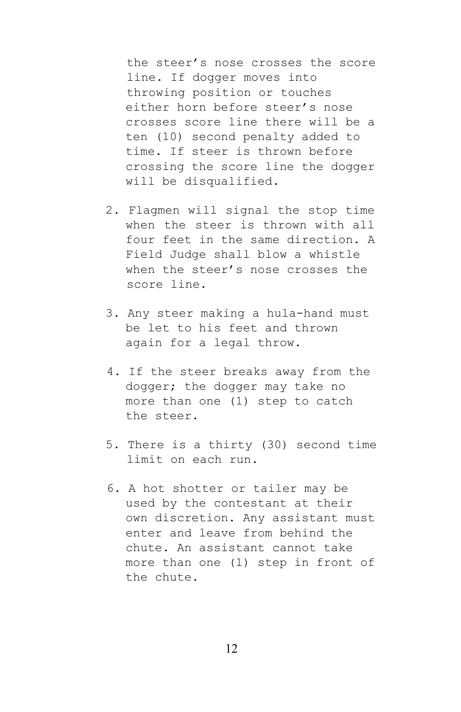the steer's nose crosses the score line. If dogger moves into throwing position or touches either horn before steer's nose crosses score line there will be a ten (10) second penalty added to time. If steer is thrown before crossing the score line the dogger will be disqualified.

- 2. Flagmen will signal the stop time when the steer is thrown with all four feet in the same direction. A Field Judge shall blow a whistle when the steer's nose crosses the score line.
- 3. Any steer making a hula-hand must be let to his feet and thrown again for a legal throw.
- 4. If the steer breaks away from the dogger; the dogger may take no more than one (1) step to catch the steer.
- 5. There is a thirty (30) second time limit on each run.
- 6. A hot shotter or tailer may be used by the contestant at their own discretion. Any assistant must enter and leave from behind the chute. An assistant cannot take more than one (1) step in front of the chute.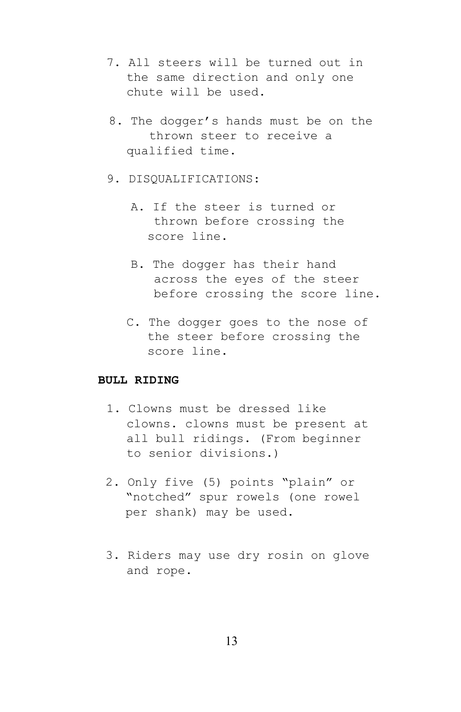- 7. All steers will be turned out in the same direction and only one chute will be used.
- 8. The dogger's hands must be on the thrown steer to receive a qualified time.
- 9. DISQUALIFICATIONS:
	- A. If the steer is turned or thrown before crossing the score line.
	- B. The dogger has their hand across the eyes of the steer before crossing the score line.
	- C. The dogger goes to the nose of the steer before crossing the score line.

## **BULL RIDING**

- 1. Clowns must be dressed like clowns. clowns must be present at all bull ridings. (From beginner to senior divisions.)
- 2. Only five (5) points "plain" or "notched" spur rowels (one rowel per shank) may be used.
- 3. Riders may use dry rosin on glove and rope.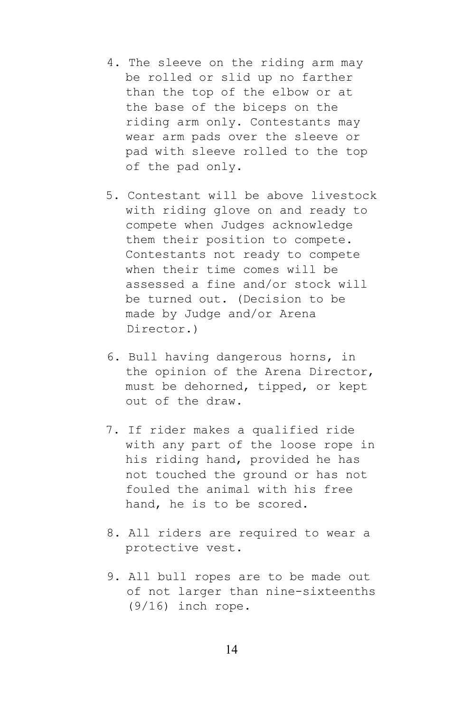- 4. The sleeve on the riding arm may be rolled or slid up no farther than the top of the elbow or at the base of the biceps on the riding arm only. Contestants may wear arm pads over the sleeve or pad with sleeve rolled to the top of the pad only.
- 5. Contestant will be above livestock with riding glove on and ready to compete when Judges acknowledge them their position to compete. Contestants not ready to compete when their time comes will be assessed a fine and/or stock will be turned out. (Decision to be made by Judge and/or Arena Director.)
- 6. Bull having dangerous horns, in the opinion of the Arena Director, must be dehorned, tipped, or kept out of the draw.
- 7. If rider makes a qualified ride with any part of the loose rope in his riding hand, provided he has not touched the ground or has not fouled the animal with his free hand, he is to be scored.
- 8. All riders are required to wear a protective vest.
- 9. All bull ropes are to be made out of not larger than nine-sixteenths (9/16) inch rope.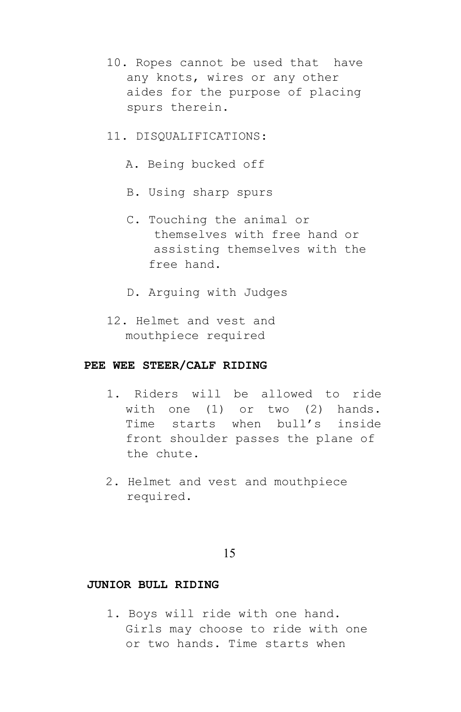- 10. Ropes cannot be used that have any knots, wires or any other aides for the purpose of placing spurs therein.
- 11. DISQUALIFICATIONS:
	- A. Being bucked off
	- B. Using sharp spurs
	- C. Touching the animal or themselves with free hand or assisting themselves with the free hand.
	- D. Arguing with Judges
- 12. Helmet and vest and mouthpiece required

## **PEE WEE STEER/CALF RIDING**

- 1. Riders will be allowed to ride with one (1) or two (2) hands. Time starts when bull's inside front shoulder passes the plane of the chute.
- 2. Helmet and vest and mouthpiece required.

#### 15

#### **JUNIOR BULL RIDING**

1. Boys will ride with one hand. Girls may choose to ride with one or two hands. Time starts when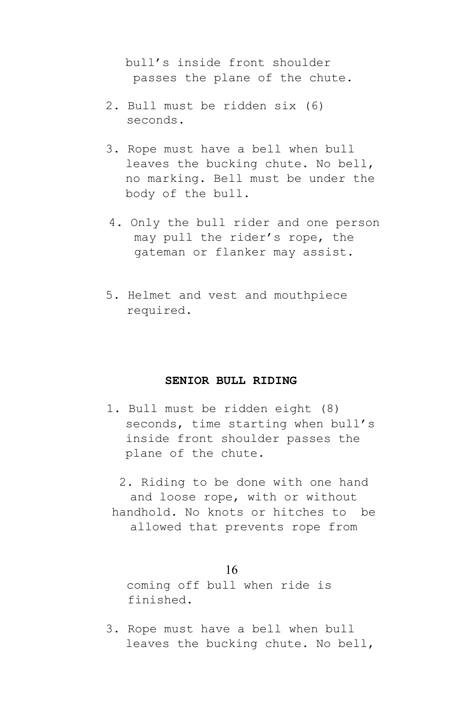bull's inside front shoulder passes the plane of the chute.

- 2. Bull must be ridden six (6) seconds.
- 3. Rope must have a bell when bull leaves the bucking chute. No bell, no marking. Bell must be under the body of the bull.
- 4. Only the bull rider and one person may pull the rider's rope, the gateman or flanker may assist.
- 5. Helmet and vest and mouthpiece required.

### **SENIOR BULL RIDING**

1. Bull must be ridden eight (8) seconds, time starting when bull's inside front shoulder passes the plane of the chute.

2. Riding to be done with one hand and loose rope, with or without handhold. No knots or hitches to be allowed that prevents rope from

16 coming off bull when ride is finished.

3. Rope must have a bell when bull leaves the bucking chute. No bell,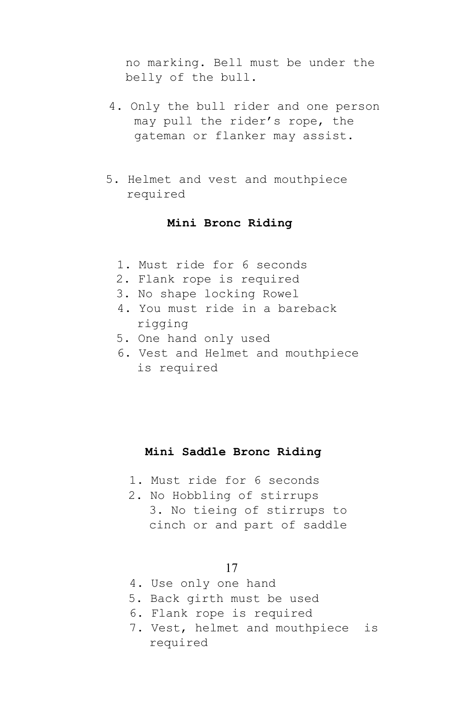no marking. Bell must be under the belly of the bull.

- 4. Only the bull rider and one person may pull the rider's rope, the gateman or flanker may assist.
- 5. Helmet and vest and mouthpiece required

## **Mini Bronc Riding**

- 1. Must ride for 6 seconds
- 2. Flank rope is required
- 3. No shape locking Rowel
- 4. You must ride in a bareback rigging
- 5. One hand only used
- 6. Vest and Helmet and mouthpiece is required

## **Mini Saddle Bronc Riding**

- 1. Must ride for 6 seconds
- 2. No Hobbling of stirrups 3. No tieing of stirrups to cinch or and part of saddle

## 17

- 4. Use only one hand
- 5. Back girth must be used
- 6. Flank rope is required
- 7. Vest, helmet and mouthpiece is required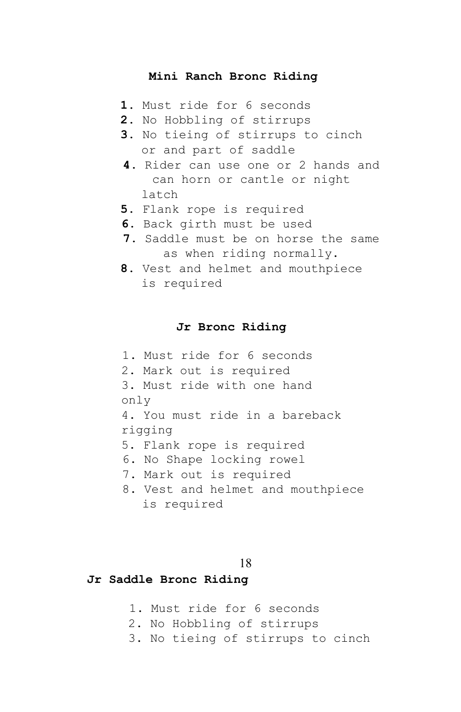## **Mini Ranch Bronc Riding**

- **1.** Must ride for 6 seconds
- **2.** No Hobbling of stirrups
- **3.** No tieing of stirrups to cinch or and part of saddle
- **4.** Rider can use one or 2 hands and can horn or cantle or night latch
- **5.** Flank rope is required
- **6.** Back girth must be used
- **7.** Saddle must be on horse the same as when riding normally.
- **8.** Vest and helmet and mouthpiece is required

#### **Jr Bronc Riding**

1. Must ride for 6 seconds 2. Mark out is required 3. Must ride with one hand only 4. You must ride in a bareback rigging 5. Flank rope is required 6. No Shape locking rowel 7. Mark out is required 8. Vest and helmet and mouthpiece is required

### 18

### **Jr Saddle Bronc Riding**

- 1. Must ride for 6 seconds
- 2. No Hobbling of stirrups
- 3. No tieing of stirrups to cinch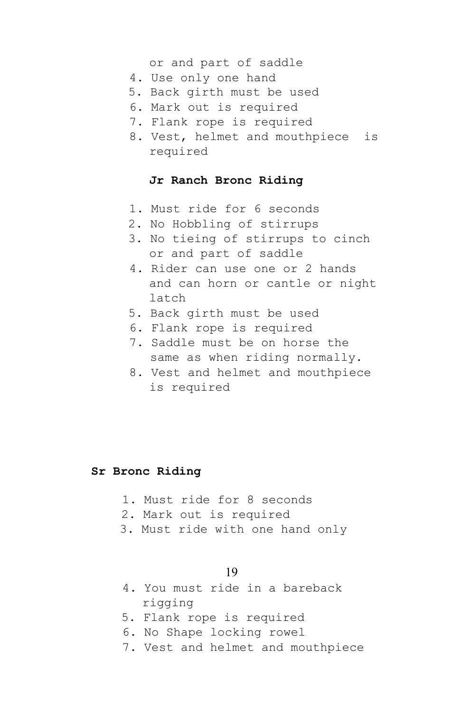## or and part of saddle

- 4. Use only one hand
- 5. Back girth must be used
- 6. Mark out is required
- 7. Flank rope is required
- 8. Vest, helmet and mouthpiece is required

## **Jr Ranch Bronc Riding**

- 1. Must ride for 6 seconds
- 2. No Hobbling of stirrups
- 3. No tieing of stirrups to cinch or and part of saddle
- 4. Rider can use one or 2 hands and can horn or cantle or night latch
- 5. Back girth must be used
- 6. Flank rope is required
- 7. Saddle must be on horse the same as when riding normally.
- 8. Vest and helmet and mouthpiece is required

#### **Sr Bronc Riding**

- 1. Must ride for 8 seconds
- 2. Mark out is required
- 3. Must ride with one hand only

### 19

- 4. You must ride in a bareback rigging
- 5. Flank rope is required
- 6. No Shape locking rowel
- 7. Vest and helmet and mouthpiece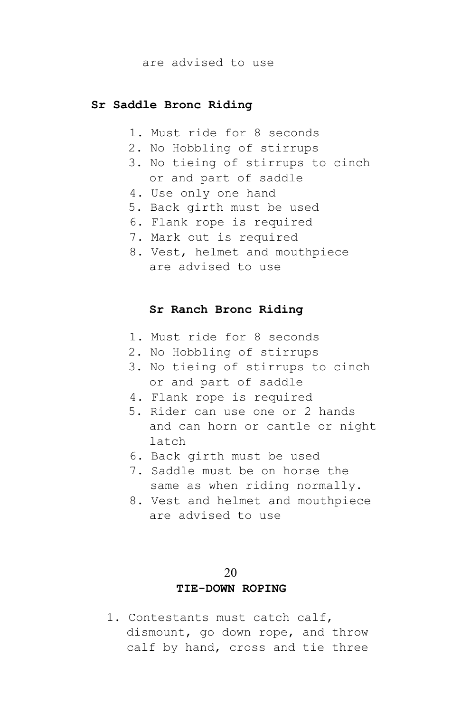are advised to use

## **Sr Saddle Bronc Riding**

- 1. Must ride for 8 seconds
- 2. No Hobbling of stirrups
- 3. No tieing of stirrups to cinch or and part of saddle
- 4. Use only one hand
- 5. Back girth must be used
- 6. Flank rope is required
- 7. Mark out is required
- 8. Vest, helmet and mouthpiece are advised to use

#### **Sr Ranch Bronc Riding**

- 1. Must ride for 8 seconds
- 2. No Hobbling of stirrups
- 3. No tieing of stirrups to cinch or and part of saddle
- 4. Flank rope is required
- 5. Rider can use one or 2 hands and can horn or cantle or night latch
- 6. Back girth must be used
- 7. Saddle must be on horse the same as when riding normally.
- 8. Vest and helmet and mouthpiece are advised to use

## 20

### **TIE-DOWN ROPING**

1. Contestants must catch calf, dismount, go down rope, and throw calf by hand, cross and tie three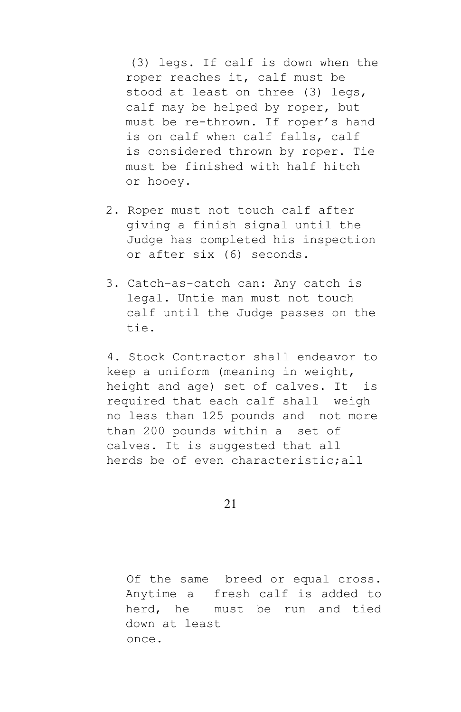(3) legs. If calf is down when the roper reaches it, calf must be stood at least on three (3) legs, calf may be helped by roper, but must be re-thrown. If roper's hand is on calf when calf falls, calf is considered thrown by roper. Tie must be finished with half hitch or hooey.

- 2. Roper must not touch calf after giving a finish signal until the Judge has completed his inspection or after six (6) seconds.
- 3. Catch-as-catch can: Any catch is legal. Untie man must not touch calf until the Judge passes on the tie.

4. Stock Contractor shall endeavor to keep a uniform (meaning in weight, height and age) set of calves. It is required that each calf shall weigh no less than 125 pounds and not more than 200 pounds within a set of calves. It is suggested that all herds be of even characteristic;all

21

Of the same breed or equal cross. Anytime a fresh calf is added to herd, he must be run and tied down at least once.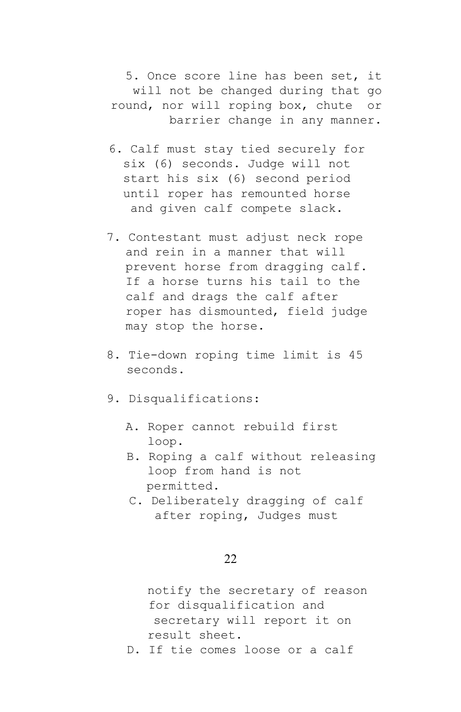5. Once score line has been set, it will not be changed during that go round, nor will roping box, chute or barrier change in any manner.

- 6. Calf must stay tied securely for six (6) seconds. Judge will not start his six (6) second period until roper has remounted horse and given calf compete slack.
- 7. Contestant must adjust neck rope and rein in a manner that will prevent horse from dragging calf. If a horse turns his tail to the calf and drags the calf after roper has dismounted, field judge may stop the horse.
- 8. Tie-down roping time limit is 45 seconds.
- 9. Disqualifications:
	- A. Roper cannot rebuild first loop.
	- B. Roping a calf without releasing loop from hand is not permitted.
	- C. Deliberately dragging of calf after roping, Judges must

#### 22

notify the secretary of reason for disqualification and secretary will report it on result sheet. D. If tie comes loose or a calf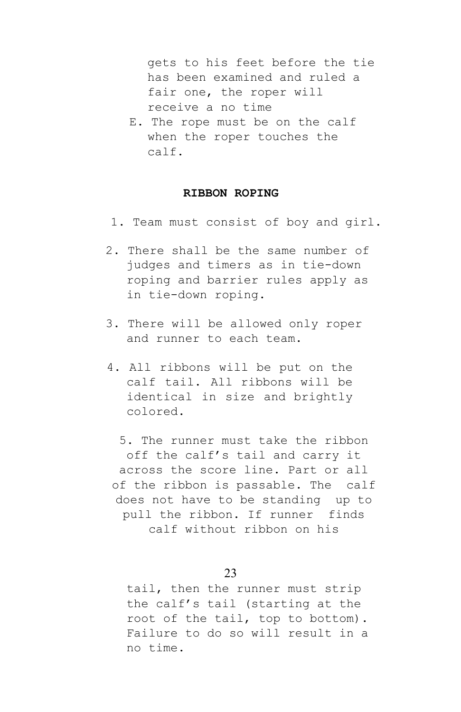gets to his feet before the tie has been examined and ruled a fair one, the roper will receive a no time

E. The rope must be on the calf when the roper touches the calf.

### **RIBBON ROPING**

- 1. Team must consist of boy and girl.
- 2. There shall be the same number of judges and timers as in tie-down roping and barrier rules apply as in tie-down roping.
- 3. There will be allowed only roper and runner to each team.
- 4. All ribbons will be put on the calf tail. All ribbons will be identical in size and brightly colored.

5. The runner must take the ribbon off the calf's tail and carry it across the score line. Part or all of the ribbon is passable. The calf does not have to be standing up to pull the ribbon. If runner finds calf without ribbon on his

## 23

tail, then the runner must strip the calf's tail (starting at the root of the tail, top to bottom). Failure to do so will result in a no time.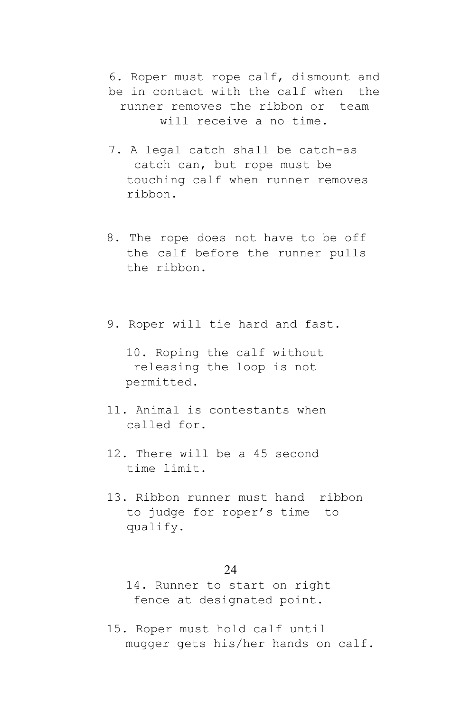6. Roper must rope calf, dismount and be in contact with the calf when the runner removes the ribbon or team will receive a no time.

- 7. A legal catch shall be catch-as catch can, but rope must be touching calf when runner removes ribbon.
- 8. The rope does not have to be off the calf before the runner pulls the ribbon.
- 9. Roper will tie hard and fast.

10. Roping the calf without releasing the loop is not permitted.

- 11. Animal is contestants when called for.
- 12. There will be a 45 second time limit.
- 13. Ribbon runner must hand ribbon to judge for roper's time to qualify.

## $24$

14. Runner to start on right fence at designated point.

15. Roper must hold calf until mugger gets his/her hands on calf.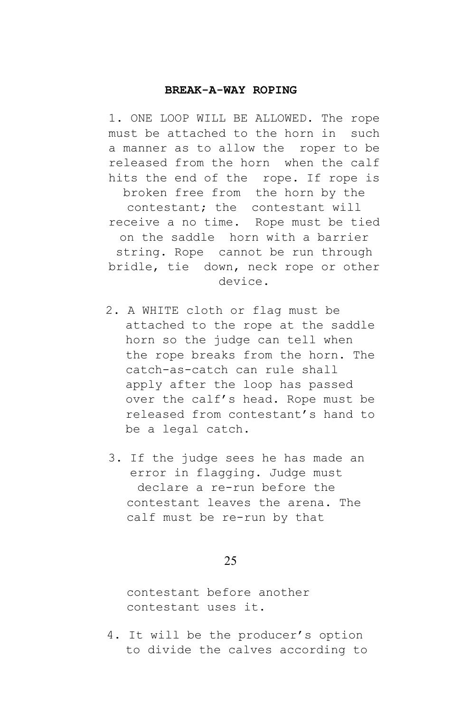## **BREAK-A-WAY ROPING**

1. ONE LOOP WILL BE ALLOWED. The rope must be attached to the horn in such a manner as to allow the roper to be released from the horn when the calf hits the end of the rope. If rope is broken free from the horn by the contestant; the contestant will receive a no time. Rope must be tied on the saddle horn with a barrier string. Rope cannot be run through bridle, tie down, neck rope or other device.

- 2. A WHITE cloth or flag must be attached to the rope at the saddle horn so the judge can tell when the rope breaks from the horn. The catch-as-catch can rule shall apply after the loop has passed over the calf's head. Rope must be released from contestant's hand to be a legal catch.
- 3. If the judge sees he has made an error in flagging. Judge must declare a re-run before the contestant leaves the arena. The calf must be re-run by that

25

contestant before another contestant uses it.

4. It will be the producer's option to divide the calves according to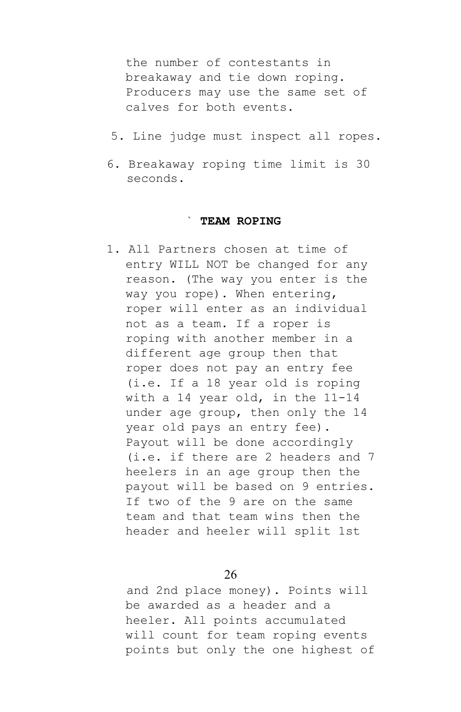the number of contestants in breakaway and tie down roping. Producers may use the same set of calves for both events.

- 5. Line judge must inspect all ropes.
- 6. Breakaway roping time limit is 30 seconds.

### ` **TEAM ROPING**

1. All Partners chosen at time of entry WILL NOT be changed for any reason. (The way you enter is the way you rope). When entering, roper will enter as an individual not as a team. If a roper is roping with another member in a different age group then that roper does not pay an entry fee (i.e. If a 18 year old is roping with a 14 year old, in the 11-14 under age group, then only the 14 year old pays an entry fee). Payout will be done accordingly (i.e. if there are 2 headers and 7 heelers in an age group then the payout will be based on 9 entries. If two of the 9 are on the same team and that team wins then the header and heeler will split 1st

26

and 2nd place money). Points will be awarded as a header and a heeler. All points accumulated will count for team roping events points but only the one highest of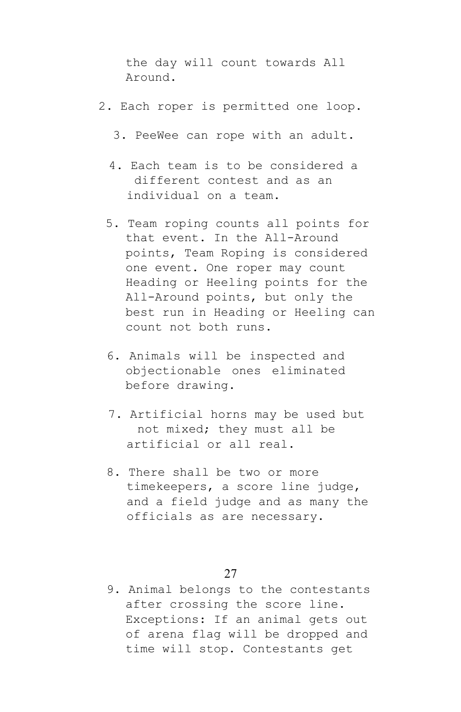the day will count towards All Around.

- 2. Each roper is permitted one loop.
	- 3. PeeWee can rope with an adult.
	- 4. Each team is to be considered a different contest and as an individual on a team.
	- 5. Team roping counts all points for that event. In the All-Around points, Team Roping is considered one event. One roper may count Heading or Heeling points for the All-Around points, but only the best run in Heading or Heeling can count not both runs.
	- 6. Animals will be inspected and objectionable ones eliminated before drawing.
	- 7. Artificial horns may be used but not mixed; they must all be artificial or all real.
	- 8. There shall be two or more timekeepers, a score line judge, and a field judge and as many the officials as are necessary.

## 27

9. Animal belongs to the contestants after crossing the score line. Exceptions: If an animal gets out of arena flag will be dropped and time will stop. Contestants get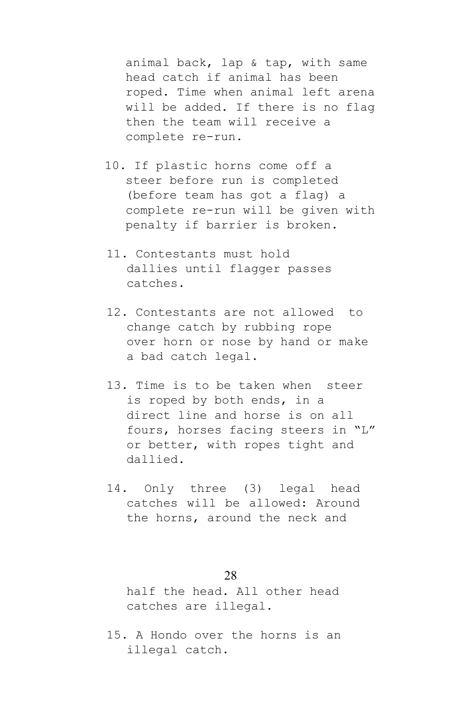animal back, lap & tap, with same head catch if animal has been roped. Time when animal left arena will be added. If there is no flag then the team will receive a complete re-run.

- 10. If plastic horns come off a steer before run is completed (before team has got a flag) a complete re-run will be given with penalty if barrier is broken.
- 11. Contestants must hold dallies until flagger passes catches.
- 12. Contestants are not allowed to change catch by rubbing rope over horn or nose by hand or make a bad catch legal.
- 13. Time is to be taken when steer is roped by both ends, in a direct line and horse is on all fours, horses facing steers in "L" or better, with ropes tight and dallied.
- 14. Only three (3) legal head catches will be allowed: Around the horns, around the neck and

## 28

half the head. All other head catches are illegal.

15. A Hondo over the horns is an illegal catch.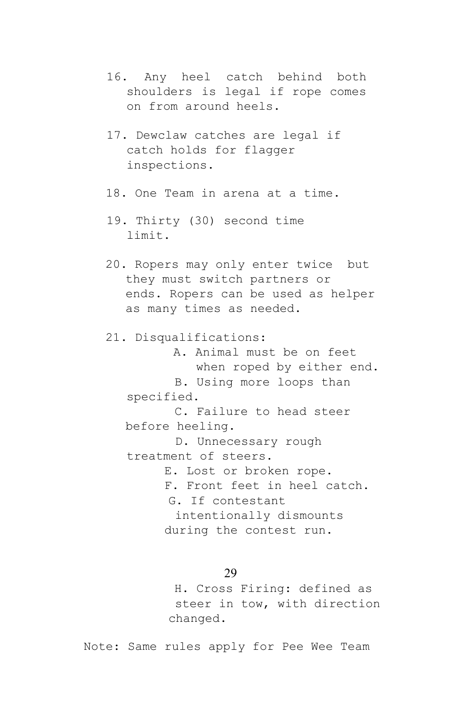- 16. Any heel catch behind both shoulders is legal if rope comes on from around heels.
- 17. Dewclaw catches are legal if catch holds for flagger inspections.
- 18. One Team in arena at a time.
- 19. Thirty (30) second time limit.
- 20. Ropers may only enter twice but they must switch partners or ends. Ropers can be used as helper as many times as needed.
- 21. Disqualifications: A. Animal must be on feet when roped by either end. B. Using more loops than specified. C. Failure to head steer before heeling. D. Unnecessary rough treatment of steers. E. Lost or broken rope. F. Front feet in heel catch. G. If contestant intentionally dismounts during the contest run.

## 29

H. Cross Firing: defined as steer in tow, with direction changed.

Note: Same rules apply for Pee Wee Team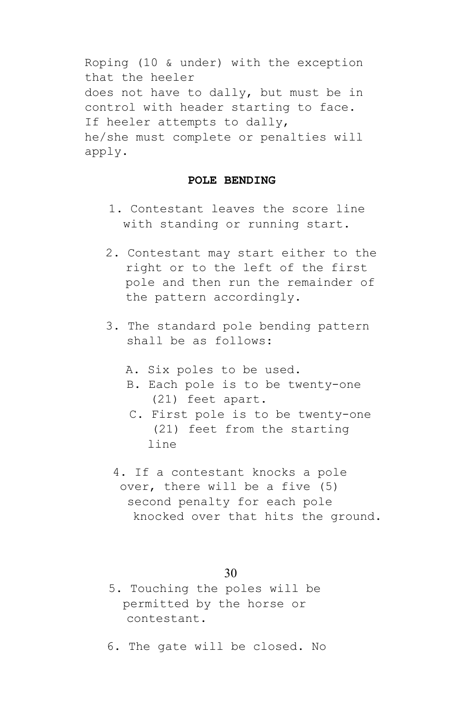Roping (10 & under) with the exception that the heeler does not have to dally, but must be in control with header starting to face. If heeler attempts to dally, he/she must complete or penalties will apply.

#### **POLE BENDING**

- 1. Contestant leaves the score line with standing or running start.
- 2. Contestant may start either to the right or to the left of the first pole and then run the remainder of the pattern accordingly.
- 3. The standard pole bending pattern shall be as follows:
	- A. Six poles to be used.
	- B. Each pole is to be twenty-one (21) feet apart.
	- C. First pole is to be twenty-one (21) feet from the starting line
	- 4. If a contestant knocks a pole over, there will be a five (5) second penalty for each pole knocked over that hits the ground.

### 30

- 5. Touching the poles will be permitted by the horse or contestant.
- 6. The gate will be closed. No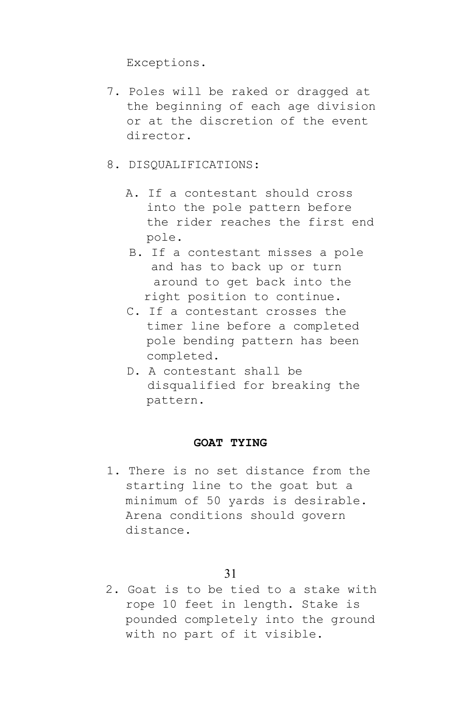Exceptions.

- 7. Poles will be raked or dragged at the beginning of each age division or at the discretion of the event director.
- 8. DISQUALIFICATIONS:
	- A. If a contestant should cross into the pole pattern before the rider reaches the first end pole.
	- B. If a contestant misses a pole and has to back up or turn around to get back into the right position to continue.
	- C. If a contestant crosses the timer line before a completed pole bending pattern has been completed.
	- D. A contestant shall be disqualified for breaking the pattern.

## **GOAT TYING**

1. There is no set distance from the starting line to the goat but a minimum of 50 yards is desirable. Arena conditions should govern distance.

## 31

2. Goat is to be tied to a stake with rope 10 feet in length. Stake is pounded completely into the ground with no part of it visible.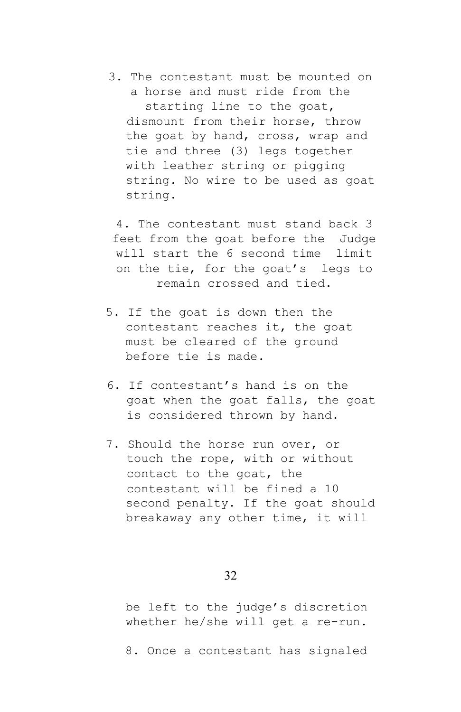3. The contestant must be mounted on a horse and must ride from the starting line to the goat, dismount from their horse, throw the goat by hand, cross, wrap and tie and three (3) legs together with leather string or pigging string. No wire to be used as goat string.

4. The contestant must stand back 3 feet from the goat before the Judge will start the 6 second time limit on the tie, for the goat's legs to remain crossed and tied.

- 5. If the goat is down then the contestant reaches it, the goat must be cleared of the ground before tie is made.
- 6. If contestant's hand is on the goat when the goat falls, the goat is considered thrown by hand.
- 7. Should the horse run over, or touch the rope, with or without contact to the goat, the contestant will be fined a 10 second penalty. If the goat should breakaway any other time, it will

32

be left to the judge's discretion whether he/she will get a re-run.

8. Once a contestant has signaled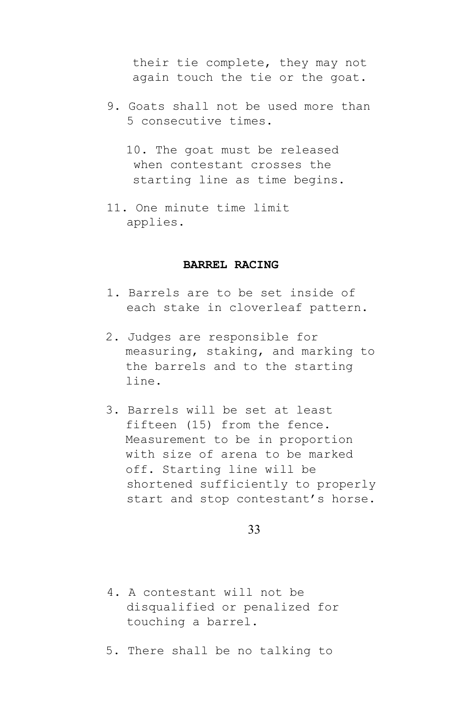their tie complete, they may not again touch the tie or the goat.

- 9. Goats shall not be used more than 5 consecutive times.
	- 10. The goat must be released when contestant crosses the starting line as time begins.
- 11. One minute time limit applies.

# **BARREL RACING**

- 1. Barrels are to be set inside of each stake in cloverleaf pattern.
- 2. Judges are responsible for measuring, staking, and marking to the barrels and to the starting line.
- 3. Barrels will be set at least fifteen (15) from the fence. Measurement to be in proportion with size of arena to be marked off. Starting line will be shortened sufficiently to properly start and stop contestant's horse.

## 33

- 4. A contestant will not be disqualified or penalized for touching a barrel.
- 5. There shall be no talking to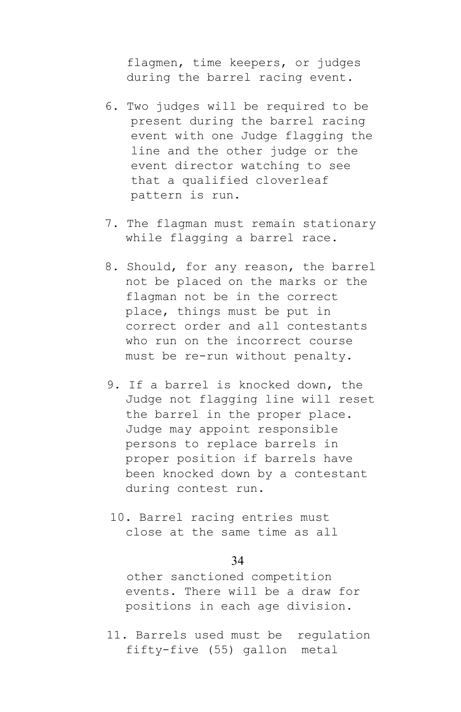flagmen, time keepers, or judges during the barrel racing event.

- 6. Two judges will be required to be present during the barrel racing event with one Judge flagging the line and the other judge or the event director watching to see that a qualified cloverleaf pattern is run.
- 7. The flagman must remain stationary while flagging a barrel race.
- 8. Should, for any reason, the barrel not be placed on the marks or the flagman not be in the correct place, things must be put in correct order and all contestants who run on the incorrect course must be re-run without penalty.
- 9. If a barrel is knocked down, the Judge not flagging line will reset the barrel in the proper place. Judge may appoint responsible persons to replace barrels in proper position if barrels have been knocked down by a contestant during contest run.
- 10. Barrel racing entries must close at the same time as all

## 34

other sanctioned competition events. There will be a draw for positions in each age division.

11. Barrels used must be regulation fifty-five (55) gallon metal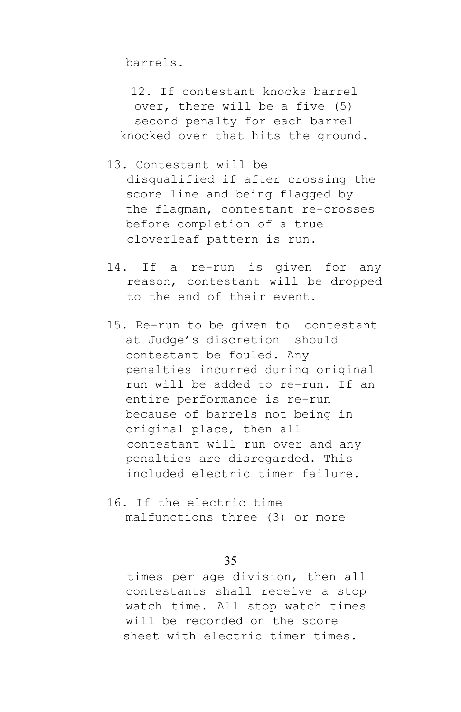barrels.

12. If contestant knocks barrel over, there will be a five (5) second penalty for each barrel knocked over that hits the ground.

- 13. Contestant will be disqualified if after crossing the score line and being flagged by the flagman, contestant re-crosses before completion of a true cloverleaf pattern is run.
- 14. If a re-run is given for any reason, contestant will be dropped to the end of their event.
- 15. Re-run to be given to contestant at Judge's discretion should contestant be fouled. Any penalties incurred during original run will be added to re-run. If an entire performance is re-run because of barrels not being in original place, then all contestant will run over and any penalties are disregarded. This included electric timer failure.
- 16. If the electric time malfunctions three (3) or more

## 35

times per age division, then all contestants shall receive a stop watch time. All stop watch times will be recorded on the score sheet with electric timer times.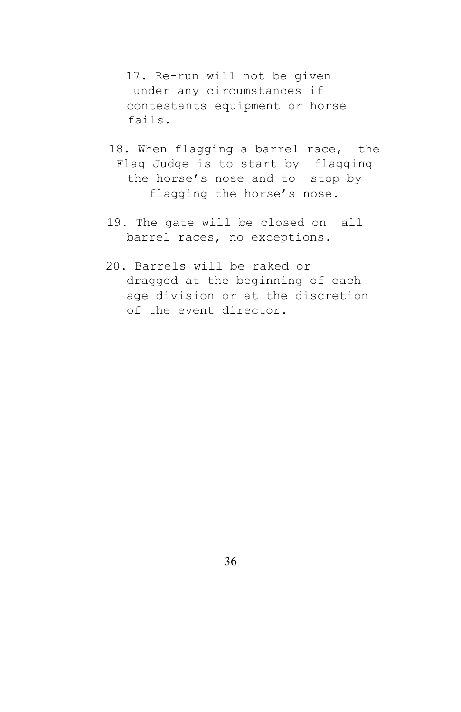17. Re-run will not be given under any circumstances if contestants equipment or horse fails.

- 18. When flagging a barrel race, the Flag Judge is to start by flagging the horse's nose and to stop by flagging the horse's nose.
- 19. The gate will be closed on all barrel races, no exceptions.
- 20. Barrels will be raked or dragged at the beginning of each age division or at the discretion of the event director.

36